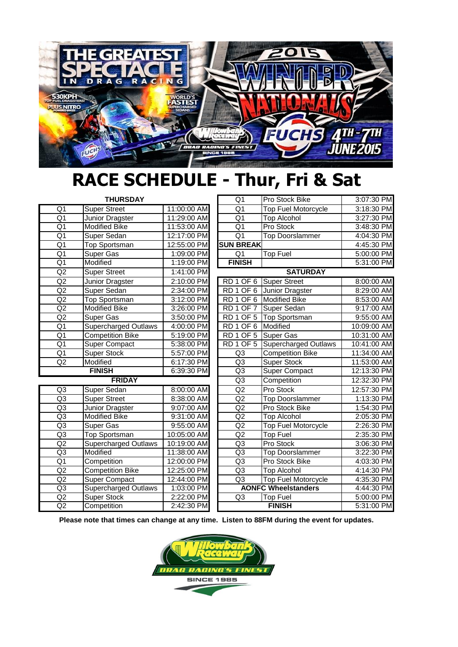

## **RACE SCHEDULE - Thur, Fri & Sat**

| <b>THURSDAY</b> |                             |             | $\overline{Q1}$                 | Pro Stock Bike              | 3:07:30 PM               |
|-----------------|-----------------------------|-------------|---------------------------------|-----------------------------|--------------------------|
| Q1              | <b>Super Street</b>         | 11:00:00 AM | $\overline{Q1}$                 | <b>Top Fuel Motorcycle</b>  | 3:18:30 PM               |
| $\overline{Q1}$ | Junior Dragster             | 11:29:00 AM | $\overline{Q1}$                 | <b>Top Alcohol</b>          | 3:27:30 PM               |
| $\overline{Q1}$ | <b>Modified Bike</b>        | 11:53:00 AM | $\overline{Q1}$                 | Pro Stock                   | 3:48:30 PM               |
| $\overline{Q1}$ | Super Sedan                 | 12:17:00 PM | $\overline{Q1}$                 | <b>Top Doorslammer</b>      | 4:04:30 PM               |
| $\overline{Q1}$ | <b>Top Sportsman</b>        | 12:55:00 PM | <b>SUN BREAK</b>                |                             | 4:45:30 PM               |
| $\overline{Q1}$ | <b>Super Gas</b>            | 1:09:00 PM  | $\overline{Q1}$                 | <b>Top Fuel</b>             | 5:00:00 PM               |
| $\overline{Q1}$ | <b>Modified</b>             | 1:19:00 PM  | <b>FINISH</b>                   |                             | 5:31:00 PM               |
| $\overline{Q}2$ | <b>Super Street</b>         | 1:41:00 PM  | <b>SATURDAY</b>                 |                             |                          |
| Q2              | Junior Dragster             | 2:10:00 PM  | RD <sub>1</sub> OF <sub>6</sub> | <b>Super Street</b>         | 8:00:00 AM               |
| Q2              | Super Sedan                 | 2:34:00 PM  | RD <sub>1</sub> OF <sub>6</sub> | Junior Dragster             | 8:29:00 AM               |
| $\overline{Q}$  | <b>Top Sportsman</b>        | 3:12:00 PM  | RD <sub>1</sub> OF <sub>6</sub> | <b>Modified Bike</b>        | 8:53:00 AM               |
| Q2              | <b>Modified Bike</b>        | 3:26:00 PM  | RD 1 OF 7                       | Super Sedan                 | 9:17:00 AM               |
| Q2              | Super Gas                   | 3:50:00 PM  | RD <sub>1</sub> OF <sub>5</sub> | <b>Top Sportsman</b>        | 9:55:00 AM               |
| $\overline{Q1}$ | <b>Supercharged Outlaws</b> | 4:00:00 PM  | RD <sub>1</sub> OF <sub>6</sub> | Modified                    | 10:09:00 AM              |
| Q <sub>1</sub>  | <b>Competition Bike</b>     | 5:19:00 PM  | RD <sub>1</sub> OF <sub>5</sub> | Super Gas                   | 10:31:00 AM              |
| $\overline{Q1}$ | <b>Super Compact</b>        | 5:38:00 PM  | RD <sub>1</sub> OF <sub>5</sub> | <b>Supercharged Outlaws</b> | 10:41:00 AM              |
| $\overline{Q1}$ | <b>Super Stock</b>          | 5:57:00 PM  | Q3                              | <b>Competition Bike</b>     | 11:34:00 AM              |
| $\overline{Q}2$ | Modified                    | 6:17:30 PM  | Q3                              | <b>Super Stock</b>          | 11:53:00 AM              |
| <b>FINISH</b>   |                             | 6:39:30 PM  | Q3                              | <b>Super Compact</b>        | 12:13:30 PM              |
| <b>FRIDAY</b>   |                             |             | Q3                              | Competition                 | 12:32:30 PM              |
| Q <sub>3</sub>  | Super Sedan                 | 8:00:00 AM  | Q2                              | Pro Stock                   | 12:57:30 PM              |
| Q <sub>3</sub>  | <b>Super Street</b>         | 8:38:00 AM  | Q2                              | <b>Top Doorslammer</b>      | 1:13:30 PM               |
| Q <sub>3</sub>  | Junior Dragster             | 9:07:00 AM  | Q2                              | Pro Stock Bike              | 1:54:30 PM               |
| Q <sub>3</sub>  | <b>Modified Bike</b>        | 9:31:00 AM  | Q2                              | <b>Top Alcohol</b>          | 2:05:30 PM               |
| Q3              | Super Gas                   | 9:55:00 AM  | Q2                              | <b>Top Fuel Motorcycle</b>  | 2:26:30 PM               |
| Q <sub>3</sub>  | Top Sportsman               | 10:05:00 AM | Q2                              | <b>Top Fuel</b>             | 2:35:30 PM               |
| Q2              | Supercharged Outlaws        | 10:19:00 AM | $\overline{Q3}$                 | Pro Stock                   | 3:06:30 PM               |
| Q3              | Modified                    | 11:38:00 AM | Q <sub>3</sub>                  | <b>Top Doorslammer</b>      | 3:22:30 PM               |
| Q1              | Competition                 | 12:00:00 PM | Q <sub>3</sub>                  | Pro Stock Bike              | 4:03:30 PM               |
| Q2              | <b>Competition Bike</b>     | 12:25:00 PM | Q <sub>3</sub>                  | <b>Top Alcohol</b>          | 4:14:30 PM               |
| $\overline{Q}2$ | <b>Super Compact</b>        | 12:44:00 PM | Q3                              | <b>Top Fuel Motorcycle</b>  | 4:35:30 PM<br>4:44:30 PM |
| Q3              | <b>Supercharged Outlaws</b> | 1:03:00 PM  |                                 | <b>AONFC Wheelstanders</b>  |                          |
| $\overline{Q}$  | Super Stock                 | 2:22:00 PM  | Q3                              | <b>Top Fuel</b>             | 5:00:00 PM               |
| Q2              | Competition                 | 2:42:30 PM  | <b>FINISH</b>                   |                             | 5:31:00 PM               |

**Please note that times can change at any time. Listen to 88FM during the event for updates.**